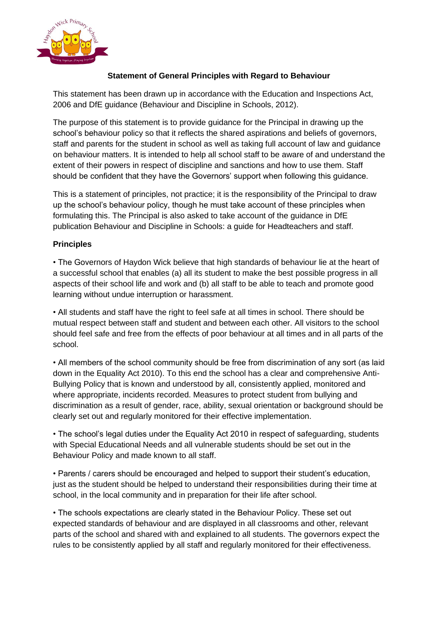

## **Statement of General Principles with Regard to Behaviour**

This statement has been drawn up in accordance with the Education and Inspections Act, 2006 and DfE guidance (Behaviour and Discipline in Schools, 2012).

The purpose of this statement is to provide guidance for the Principal in drawing up the school's behaviour policy so that it reflects the shared aspirations and beliefs of governors, staff and parents for the student in school as well as taking full account of law and guidance on behaviour matters. It is intended to help all school staff to be aware of and understand the extent of their powers in respect of discipline and sanctions and how to use them. Staff should be confident that they have the Governors' support when following this guidance.

This is a statement of principles, not practice; it is the responsibility of the Principal to draw up the school's behaviour policy, though he must take account of these principles when formulating this. The Principal is also asked to take account of the guidance in DfE publication Behaviour and Discipline in Schools: a guide for Headteachers and staff.

## **Principles**

• The Governors of Haydon Wick believe that high standards of behaviour lie at the heart of a successful school that enables (a) all its student to make the best possible progress in all aspects of their school life and work and (b) all staff to be able to teach and promote good learning without undue interruption or harassment.

• All students and staff have the right to feel safe at all times in school. There should be mutual respect between staff and student and between each other. All visitors to the school should feel safe and free from the effects of poor behaviour at all times and in all parts of the school.

• All members of the school community should be free from discrimination of any sort (as laid down in the Equality Act 2010). To this end the school has a clear and comprehensive Anti-Bullying Policy that is known and understood by all, consistently applied, monitored and where appropriate, incidents recorded. Measures to protect student from bullying and discrimination as a result of gender, race, ability, sexual orientation or background should be clearly set out and regularly monitored for their effective implementation.

• The school's legal duties under the Equality Act 2010 in respect of safeguarding, students with Special Educational Needs and all vulnerable students should be set out in the Behaviour Policy and made known to all staff.

• Parents / carers should be encouraged and helped to support their student's education, just as the student should be helped to understand their responsibilities during their time at school, in the local community and in preparation for their life after school.

• The schools expectations are clearly stated in the Behaviour Policy. These set out expected standards of behaviour and are displayed in all classrooms and other, relevant parts of the school and shared with and explained to all students. The governors expect the rules to be consistently applied by all staff and regularly monitored for their effectiveness.